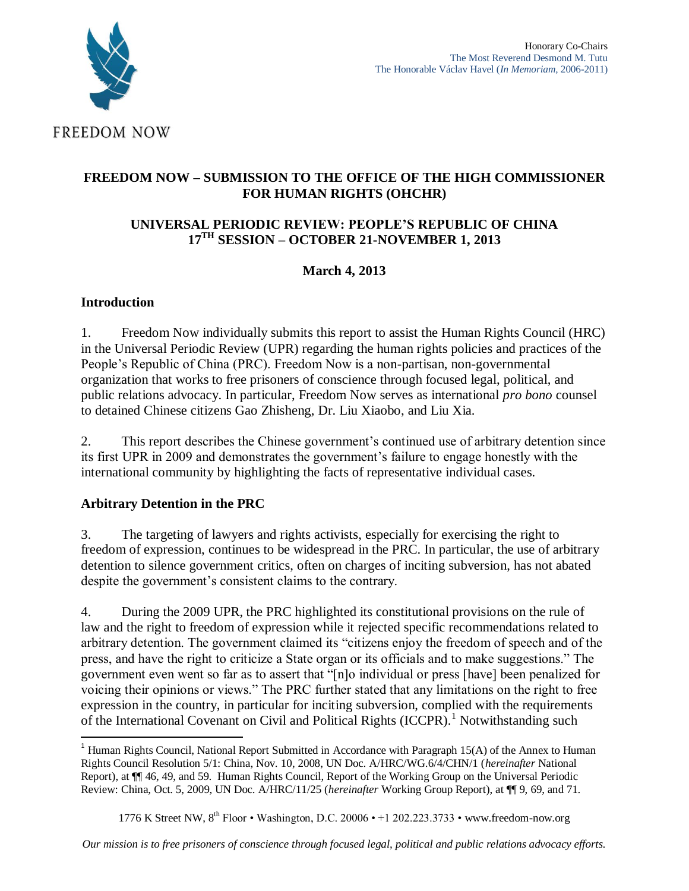

# **FREEDOM NOW – SUBMISSION TO THE OFFICE OF THE HIGH COMMISSIONER FOR HUMAN RIGHTS (OHCHR)**

#### **UNIVERSAL PERIODIC REVIEW: PEOPLE'S REPUBLIC OF CHINA 17TH SESSION – OCTOBER 21-NOVEMBER 1, 2013**

# **March 4, 2013**

#### **Introduction**

1. Freedom Now individually submits this report to assist the Human Rights Council (HRC) in the Universal Periodic Review (UPR) regarding the human rights policies and practices of the People's Republic of China (PRC). Freedom Now is a non-partisan, non-governmental organization that works to free prisoners of conscience through focused legal, political, and public relations advocacy. In particular, Freedom Now serves as international *pro bono* counsel to detained Chinese citizens Gao Zhisheng, Dr. Liu Xiaobo, and Liu Xia.

2. This report describes the Chinese government's continued use of arbitrary detention since its first UPR in 2009 and demonstrates the government's failure to engage honestly with the international community by highlighting the facts of representative individual cases.

# **Arbitrary Detention in the PRC**

3. The targeting of lawyers and rights activists, especially for exercising the right to freedom of expression, continues to be widespread in the PRC. In particular, the use of arbitrary detention to silence government critics, often on charges of inciting subversion, has not abated despite the government's consistent claims to the contrary.

4. During the 2009 UPR, the PRC highlighted its constitutional provisions on the rule of law and the right to freedom of expression while it rejected specific recommendations related to arbitrary detention. The government claimed its "citizens enjoy the freedom of speech and of the press, and have the right to criticize a State organ or its officials and to make suggestions." The government even went so far as to assert that "[n]o individual or press [have] been penalized for voicing their opinions or views." The PRC further stated that any limitations on the right to free expression in the country, in particular for inciting subversion, complied with the requirements of the International Covenant on Civil and Political Rights (ICCPR).<sup>1</sup> Notwithstanding such

 $\overline{a}$ <sup>1</sup> Human Rights Council, National Report Submitted in Accordance with Paragraph 15(A) of the Annex to Human Rights Council Resolution 5/1: China, Nov. 10, 2008, UN Doc. A/HRC/WG.6/4/CHN/1 (*hereinafter* National Report), at ¶¶ 46, 49, and 59. Human Rights Council, Report of the Working Group on the Universal Periodic Review: China, Oct. 5, 2009, UN Doc. A/HRC/11/25 (*hereinafter* Working Group Report), at ¶¶ 9, 69, and 71.

<sup>1776</sup> K Street NW, 8<sup>th</sup> Floor • Washington, D.C. 20006 • +1 202.223.3733 • www.freedom-now.org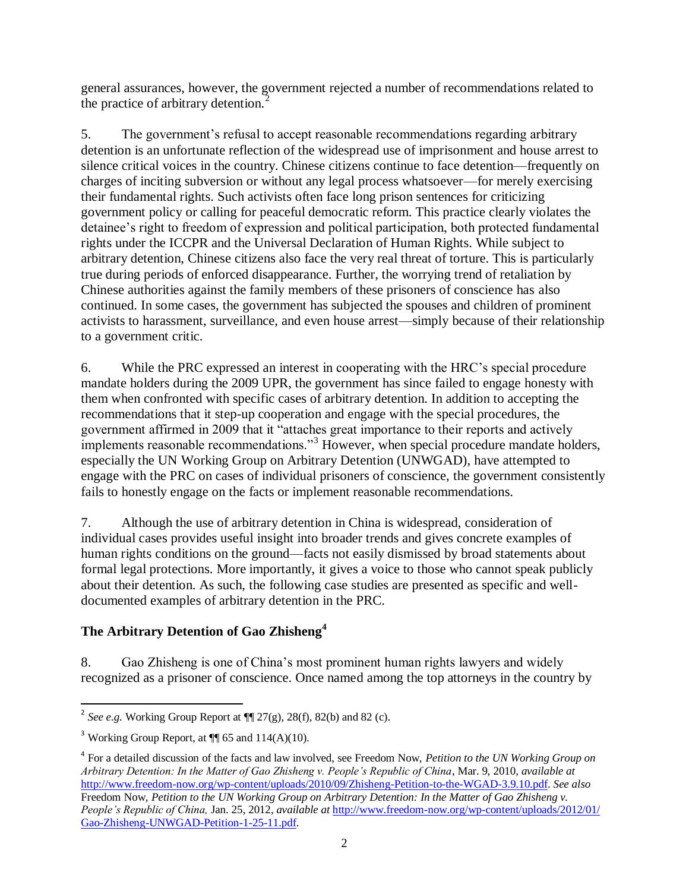general assurances, however, the government rejected a number of recommendations related to the practice of arbitrary detention.<sup>2</sup>

5. The government's refusal to accept reasonable recommendations regarding arbitrary detention is an unfortunate reflection of the widespread use of imprisonment and house arrest to silence critical voices in the country. Chinese citizens continue to face detention—frequently on charges of inciting subversion or without any legal process whatsoever—for merely exercising their fundamental rights. Such activists often face long prison sentences for criticizing government policy or calling for peaceful democratic reform. This practice clearly violates the detainee's right to freedom of expression and political participation, both protected fundamental rights under the ICCPR and the Universal Declaration of Human Rights. While subject to arbitrary detention, Chinese citizens also face the very real threat of torture. This is particularly true during periods of enforced disappearance. Further, the worrying trend of retaliation by Chinese authorities against the family members of these prisoners of conscience has also continued. In some cases, the government has subjected the spouses and children of prominent activists to harassment, surveillance, and even house arrest—simply because of their relationship to a government critic.

6. While the PRC expressed an interest in cooperating with the HRC's special procedure mandate holders during the 2009 UPR, the government has since failed to engage honesty with them when confronted with specific cases of arbitrary detention. In addition to accepting the recommendations that it step-up cooperation and engage with the special procedures, the government affirmed in 2009 that it "attaches great importance to their reports and actively implements reasonable recommendations."<sup>3</sup> However, when special procedure mandate holders, especially the UN Working Group on Arbitrary Detention (UNWGAD), have attempted to engage with the PRC on cases of individual prisoners of conscience, the government consistently fails to honestly engage on the facts or implement reasonable recommendations.

7. Although the use of arbitrary detention in China is widespread, consideration of individual cases provides useful insight into broader trends and gives concrete examples of human rights conditions on the ground—facts not easily dismissed by broad statements about formal legal protections. More importantly, it gives a voice to those who cannot speak publicly about their detention. As such, the following case studies are presented as specific and welldocumented examples of arbitrary detention in the PRC.

# **The Arbitrary Detention of Gao Zhisheng<sup>4</sup>**

8. Gao Zhisheng is one of China's most prominent human rights lawyers and widely recognized as a prisoner of conscience. Once named among the top attorneys in the country by

<sup>&</sup>lt;sup>2</sup> See e.g. Working Group Report at  $\P$   $27(g)$ , 28(f), 82(b) and 82 (c).

<sup>&</sup>lt;sup>3</sup> Working Group Report, at  $\P$  65 and 114(A)(10).

<sup>4</sup> For a detailed discussion of the facts and law involved, see Freedom Now, *Petition to the UN Working Group on Arbitrary Detention: In the Matter of Gao Zhisheng v. People's Republic of China*, Mar. 9, 2010, *available at*  [http://www.freedom-now.org/wp-content/uploads/2010/09/Zhisheng-Petition-to-the-WGAD-3.9.10.pdf.](http://www.freedom-now.org/wp-content/uploads/2010/09/Zhisheng-Petition-to-the-WGAD-3.9.10.pdf) *See also* 

Freedom Now, *Petition to the UN Working Group on Arbitrary Detention: In the Matter of Gao Zhisheng v. People's Republic of China,* Jan. 25, 2012, *available at* [http://www.freedom-now.org/wp-content/uploads/2012/01/](http://www.freedom-now.org/wp-content/uploads/2012/01/‌Gao-Zhisheng-UNWGAD-Petition-1-25-11.pdf) [Gao-Zhisheng-UNWGAD-Petition-1-25-11.pdf.](http://www.freedom-now.org/wp-content/uploads/2012/01/‌Gao-Zhisheng-UNWGAD-Petition-1-25-11.pdf)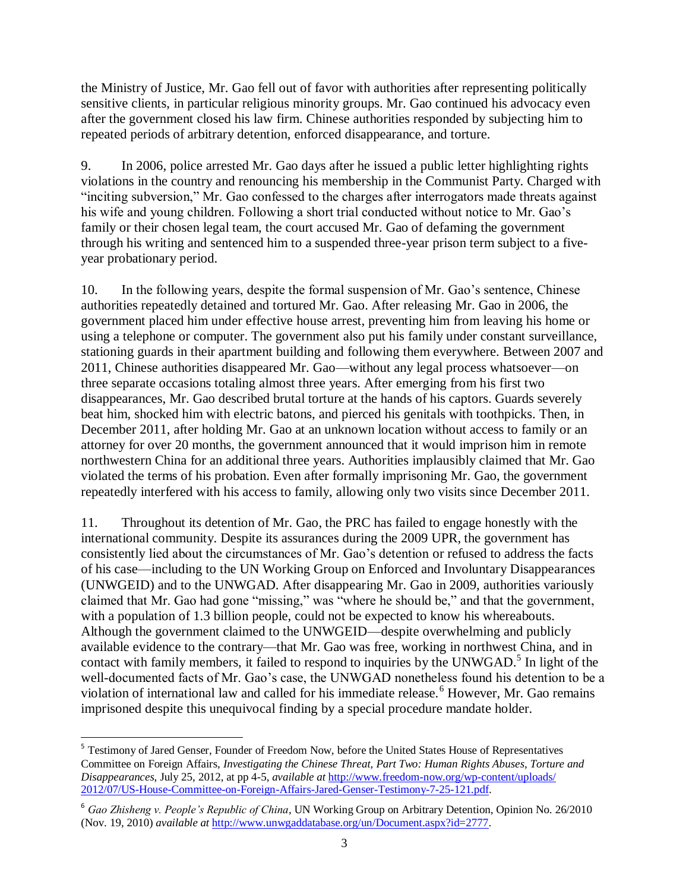the Ministry of Justice, Mr. Gao fell out of favor with authorities after representing politically sensitive clients, in particular religious minority groups. Mr. Gao continued his advocacy even after the government closed his law firm. Chinese authorities responded by subjecting him to repeated periods of arbitrary detention, enforced disappearance, and torture.

9. In 2006, police arrested Mr. Gao days after he issued a public letter highlighting rights violations in the country and renouncing his membership in the Communist Party. Charged with "inciting subversion," Mr. Gao confessed to the charges after interrogators made threats against his wife and young children. Following a short trial conducted without notice to Mr. Gao's family or their chosen legal team, the court accused Mr. Gao of defaming the government through his writing and sentenced him to a suspended three-year prison term subject to a fiveyear probationary period.

10. In the following years, despite the formal suspension of Mr. Gao's sentence, Chinese authorities repeatedly detained and tortured Mr. Gao. After releasing Mr. Gao in 2006, the government placed him under effective house arrest, preventing him from leaving his home or using a telephone or computer. The government also put his family under constant surveillance, stationing guards in their apartment building and following them everywhere. Between 2007 and 2011, Chinese authorities disappeared Mr. Gao—without any legal process whatsoever—on three separate occasions totaling almost three years. After emerging from his first two disappearances, Mr. Gao described brutal torture at the hands of his captors. Guards severely beat him, shocked him with electric batons, and pierced his genitals with toothpicks. Then, in December 2011, after holding Mr. Gao at an unknown location without access to family or an attorney for over 20 months, the government announced that it would imprison him in remote northwestern China for an additional three years. Authorities implausibly claimed that Mr. Gao violated the terms of his probation. Even after formally imprisoning Mr. Gao, the government repeatedly interfered with his access to family, allowing only two visits since December 2011.

11. Throughout its detention of Mr. Gao, the PRC has failed to engage honestly with the international community. Despite its assurances during the 2009 UPR, the government has consistently lied about the circumstances of Mr. Gao's detention or refused to address the facts of his case—including to the UN Working Group on Enforced and Involuntary Disappearances (UNWGEID) and to the UNWGAD. After disappearing Mr. Gao in 2009, authorities variously claimed that Mr. Gao had gone "missing," was "where he should be," and that the government, with a population of 1.3 billion people, could not be expected to know his whereabouts. Although the government claimed to the UNWGEID—despite overwhelming and publicly available evidence to the contrary—that Mr. Gao was free, working in northwest China, and in contact with family members, it failed to respond to inquiries by the UNWGAD.<sup>5</sup> In light of the well-documented facts of Mr. Gao's case, the UNWGAD nonetheless found his detention to be a violation of international law and called for his immediate release.<sup>6</sup> However, Mr. Gao remains imprisoned despite this unequivocal finding by a special procedure mandate holder.

 5 Testimony of Jared Genser, Founder of Freedom Now, before the United States House of Representatives Committee on Foreign Affairs, *Investigating the Chinese Threat, Part Two: Human Rights Abuses, Torture and Disappearances*, July 25, 2012, at pp 4-5, *available at* [http://www.freedom-now.org/wp-content/uploads/](http://www.freedom-now.org/wp-content/uploads/‌2012/07/US-House-Committee-on-Foreign-Affairs-Jared-Genser-Testimony-7-25-121.pd) [2012/07/US-House-Committee-on-Foreign-Affairs-Jared-Genser-Testimony-7-25-121.pdf.](http://www.freedom-now.org/wp-content/uploads/‌2012/07/US-House-Committee-on-Foreign-Affairs-Jared-Genser-Testimony-7-25-121.pd)

<sup>6</sup> *Gao Zhisheng v. People's Republic of China*, UN Working Group on Arbitrary Detention, Opinion No. 26/2010 (Nov. 19, 2010) *available at* [http://www.unwgaddatabase.org/un/Document.aspx?id=2777.](http://www.unwgaddatabase.org/un/Document.aspx?id=2777)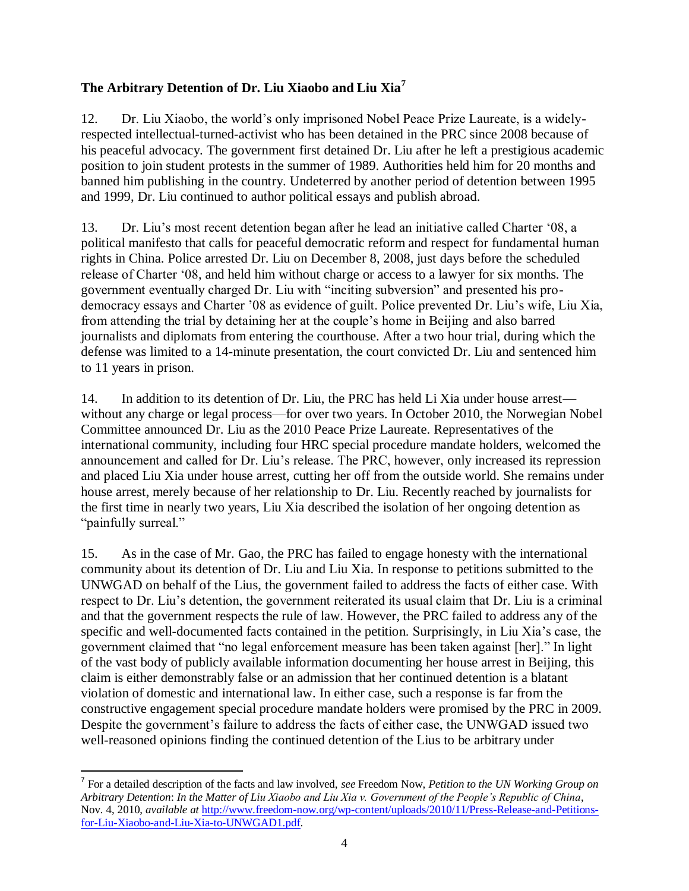## **The Arbitrary Detention of Dr. Liu Xiaobo and Liu Xia<sup>7</sup>**

12. Dr. Liu Xiaobo, the world's only imprisoned Nobel Peace Prize Laureate, is a widelyrespected intellectual-turned-activist who has been detained in the PRC since 2008 because of his peaceful advocacy. The government first detained Dr. Liu after he left a prestigious academic position to join student protests in the summer of 1989. Authorities held him for 20 months and banned him publishing in the country. Undeterred by another period of detention between 1995 and 1999, Dr. Liu continued to author political essays and publish abroad.

13. Dr. Liu's most recent detention began after he lead an initiative called Charter '08, a political manifesto that calls for peaceful democratic reform and respect for fundamental human rights in China. Police arrested Dr. Liu on December 8, 2008, just days before the scheduled release of Charter '08, and held him without charge or access to a lawyer for six months. The government eventually charged Dr. Liu with "inciting subversion" and presented his prodemocracy essays and Charter '08 as evidence of guilt. Police prevented Dr. Liu's wife, Liu Xia, from attending the trial by detaining her at the couple's home in Beijing and also barred journalists and diplomats from entering the courthouse. After a two hour trial, during which the defense was limited to a 14-minute presentation, the court convicted Dr. Liu and sentenced him to 11 years in prison.

14. In addition to its detention of Dr. Liu, the PRC has held Li Xia under house arrest without any charge or legal process—for over two years. In October 2010, the Norwegian Nobel Committee announced Dr. Liu as the 2010 Peace Prize Laureate. Representatives of the international community, including four HRC special procedure mandate holders, welcomed the announcement and called for Dr. Liu's release. The PRC, however, only increased its repression and placed Liu Xia under house arrest, cutting her off from the outside world. She remains under house arrest, merely because of her relationship to Dr. Liu. Recently reached by journalists for the first time in nearly two years, Liu Xia described the isolation of her ongoing detention as "painfully surreal."

15. As in the case of Mr. Gao, the PRC has failed to engage honesty with the international community about its detention of Dr. Liu and Liu Xia. In response to petitions submitted to the UNWGAD on behalf of the Lius, the government failed to address the facts of either case. With respect to Dr. Liu's detention, the government reiterated its usual claim that Dr. Liu is a criminal and that the government respects the rule of law. However, the PRC failed to address any of the specific and well-documented facts contained in the petition. Surprisingly, in Liu Xia's case, the government claimed that "no legal enforcement measure has been taken against [her]." In light of the vast body of publicly available information documenting her house arrest in Beijing, this claim is either demonstrably false or an admission that her continued detention is a blatant violation of domestic and international law. In either case, such a response is far from the constructive engagement special procedure mandate holders were promised by the PRC in 2009. Despite the government's failure to address the facts of either case, the UNWGAD issued two well-reasoned opinions finding the continued detention of the Lius to be arbitrary under

 $\overline{a}$ 

<sup>7</sup> For a detailed description of the facts and law involved, *see* Freedom Now, *Petition to the UN Working Group on Arbitrary Detention*: *In the Matter of Liu Xiaobo and Liu Xia v. Government of the People's Republic of China*, Nov. 4, 2010, *available at* [http://www.freedom-now.org/wp-content/uploads/2010/11/Press-Release-and-Petitions](http://www.freedom-now.org/wp-content/uploads/2010/11/Press-Release-and-Petitions-for-Liu-Xiaobo-and-Liu-Xia-to-UNWGAD1.pdf)[for-Liu-Xiaobo-and-Liu-Xia-to-UNWGAD1.pdf.](http://www.freedom-now.org/wp-content/uploads/2010/11/Press-Release-and-Petitions-for-Liu-Xiaobo-and-Liu-Xia-to-UNWGAD1.pdf)